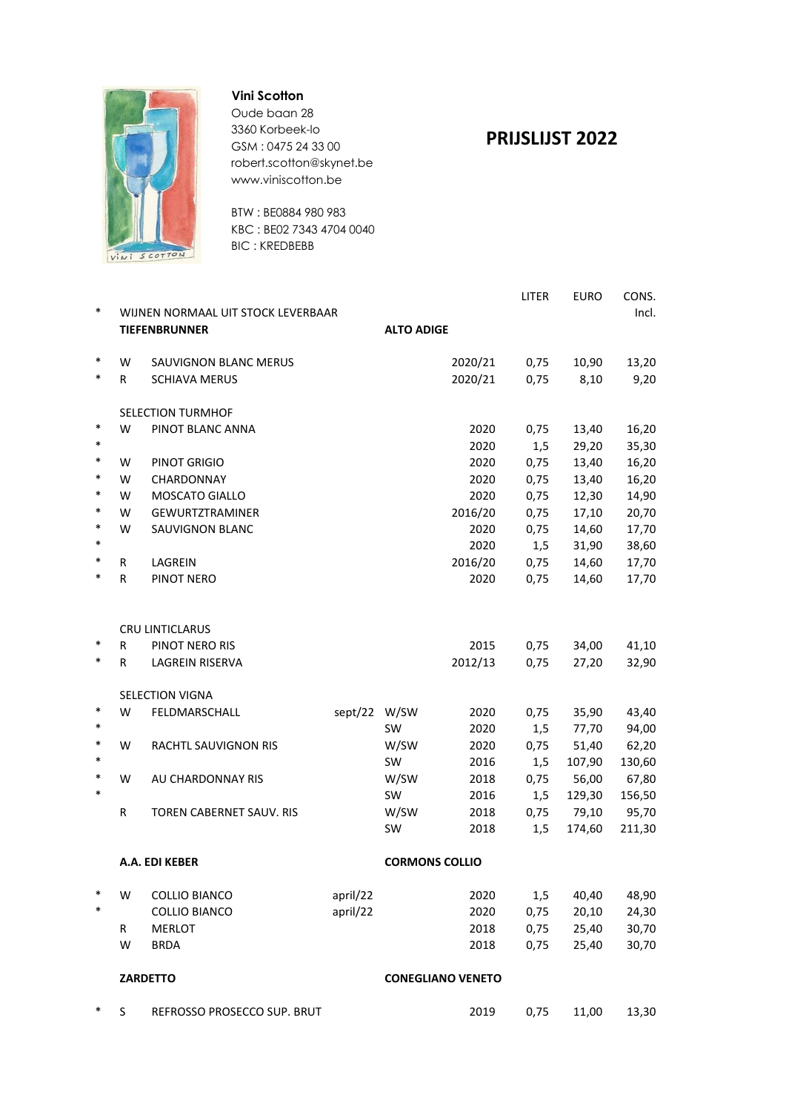

#### **Vini Scotton**

Oude baan 28 3360 Korbeek-lo GSM : 0475 24 33 00 robert.scotton@skynet.be www.viniscotton.be

BTW : BE0884 980 983 KBC : BE02 7343 4704 0040 BIC : KREDBEBB

### **PRIJSLIJST 2022**

| $\ast$ |                      | WIJNEN NORMAAL UIT STOCK LEVERBAAR |              |                          |         | <b>LITER</b> | <b>EURO</b> | CONS.<br>Incl. |
|--------|----------------------|------------------------------------|--------------|--------------------------|---------|--------------|-------------|----------------|
|        | <b>TIEFENBRUNNER</b> |                                    |              | <b>ALTO ADIGE</b>        |         |              |             |                |
| $\ast$ | W                    | <b>SAUVIGNON BLANC MERUS</b>       |              |                          | 2020/21 | 0,75         | 10,90       | 13,20          |
| $\ast$ | R                    | <b>SCHIAVA MERUS</b>               |              |                          | 2020/21 | 0,75         | 8,10        | 9,20           |
|        |                      | <b>SELECTION TURMHOF</b>           |              |                          |         |              |             |                |
| $\ast$ | W                    | PINOT BLANC ANNA                   |              |                          | 2020    | 0,75         | 13,40       | 16,20          |
| $\ast$ |                      |                                    |              |                          | 2020    | 1,5          | 29,20       | 35,30          |
| $\ast$ | W                    | PINOT GRIGIO                       |              |                          | 2020    | 0,75         | 13,40       | 16,20          |
| $\ast$ | W                    | CHARDONNAY                         |              |                          | 2020    | 0,75         | 13,40       | 16,20          |
| $\ast$ | W                    | MOSCATO GIALLO                     |              |                          | 2020    | 0,75         | 12,30       | 14,90          |
| $\ast$ | W                    | <b>GEWURTZTRAMINER</b>             |              |                          | 2016/20 | 0,75         | 17,10       | 20,70          |
| $\ast$ | W                    | SAUVIGNON BLANC                    |              |                          | 2020    | 0,75         | 14,60       | 17,70          |
| $\ast$ |                      |                                    |              |                          | 2020    | 1,5          | 31,90       | 38,60          |
| $\ast$ | R                    | LAGREIN                            |              |                          | 2016/20 | 0,75         | 14,60       | 17,70          |
| $\ast$ | R                    | PINOT NERO                         |              |                          | 2020    | 0,75         | 14,60       | 17,70          |
|        |                      |                                    |              |                          |         |              |             |                |
|        |                      | <b>CRU LINTICLARUS</b>             |              |                          |         |              |             |                |
| $\ast$ | R                    | PINOT NERO RIS                     |              |                          | 2015    | 0,75         | 34,00       | 41,10          |
| $\ast$ | R                    | <b>LAGREIN RISERVA</b>             |              |                          | 2012/13 | 0,75         | 27,20       | 32,90          |
|        |                      | <b>SELECTION VIGNA</b>             |              |                          |         |              |             |                |
| $\ast$ | W                    | FELDMARSCHALL                      | sept/22 W/SW |                          | 2020    | 0,75         | 35,90       | 43,40          |
| $\ast$ |                      |                                    |              | <b>SW</b>                | 2020    | 1,5          | 77,70       | 94,00          |
| $\ast$ | W                    | RACHTL SAUVIGNON RIS               |              | W/SW                     | 2020    | 0,75         | 51,40       | 62,20          |
| $\ast$ |                      |                                    |              | <b>SW</b>                | 2016    | 1,5          | 107,90      | 130,60         |
| $\ast$ | W                    | AU CHARDONNAY RIS                  |              | W/SW                     | 2018    | 0,75         | 56,00       | 67,80          |
| $\ast$ |                      |                                    |              | <b>SW</b>                | 2016    | 1,5          | 129,30      | 156,50         |
|        | R                    | TOREN CABERNET SAUV. RIS           |              | W/SW                     | 2018    | 0,75         | 79,10       | 95,70          |
|        |                      |                                    |              | SW                       | 2018    | 1,5          | 174,60      | 211,30         |
|        |                      | A.A. EDI KEBER                     |              | <b>CORMONS COLLIO</b>    |         |              |             |                |
| ∗      | W                    | <b>COLLIO BIANCO</b>               | april/22     |                          | 2020    | 1,5          | 40,40       | 48,90          |
| $\ast$ |                      | COLLIO BIANCO                      | april/22     |                          | 2020    | 0,75         | 20,10       | 24,30          |
|        | R                    | <b>MERLOT</b>                      |              |                          | 2018    | 0,75         | 25,40       | 30,70          |
|        | W                    | <b>BRDA</b>                        |              |                          | 2018    | 0,75         | 25,40       | 30,70          |
|        |                      | <b>ZARDETTO</b>                    |              | <b>CONEGLIANO VENETO</b> |         |              |             |                |
| ∗      | S                    | REFROSSO PROSECCO SUP. BRUT        |              |                          | 2019    | 0,75         | 11,00       | 13,30          |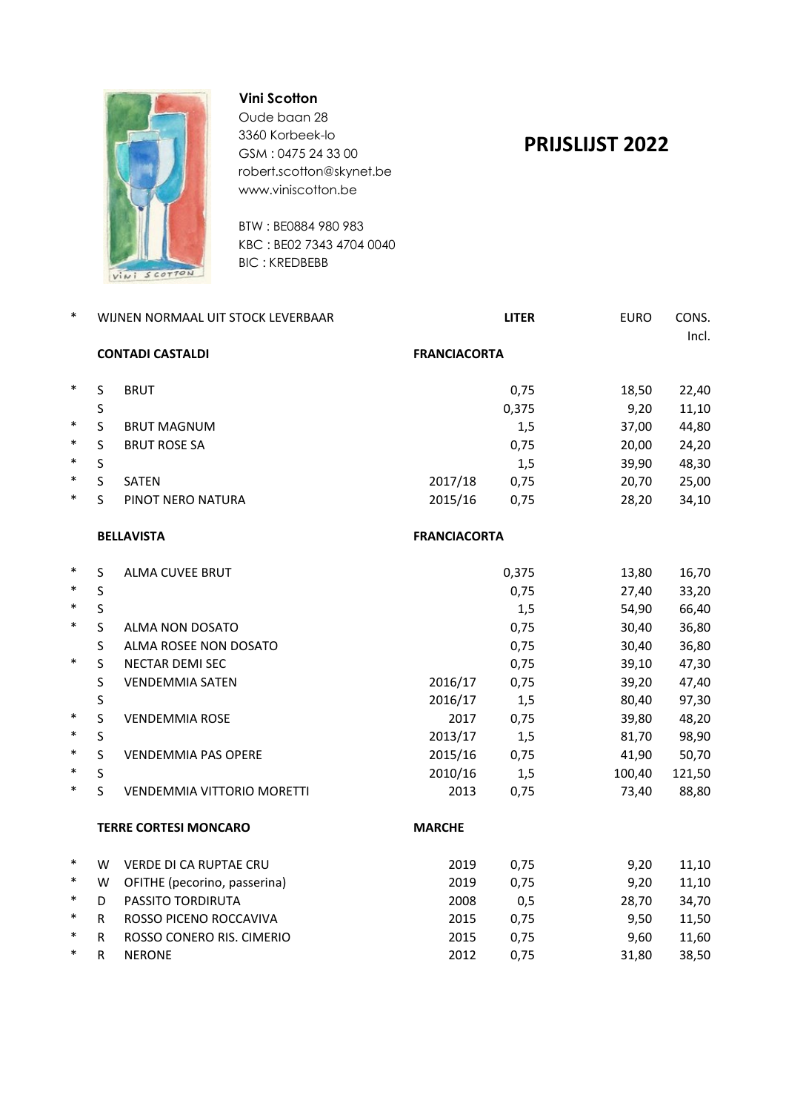

### **Vini Scotton**

Oude baan 28 3360 Korbeek-lo GSM : 0475 24 33 00 robert.scotton@skynet.be www.viniscotton.be

BTW : BE0884 980 983 KBC : BE02 7343 4704 0040 BIC : KREDBEBB

# **PRIJSLIJST 2022**

| $\ast$ |                              | WIJNEN NORMAAL UIT STOCK LEVERBAAR |                     | <b>LITER</b> |        |        |
|--------|------------------------------|------------------------------------|---------------------|--------------|--------|--------|
|        | <b>CONTADI CASTALDI</b>      |                                    | <b>FRANCIACORTA</b> |              |        |        |
| $\ast$ | S                            | <b>BRUT</b>                        |                     | 0,75         | 18,50  | 22,40  |
|        | S                            |                                    |                     | 0,375        | 9,20   | 11,10  |
| $\ast$ | S                            | <b>BRUT MAGNUM</b>                 |                     | 1,5          | 37,00  | 44,80  |
| $\ast$ | S                            | <b>BRUT ROSE SA</b>                |                     | 0,75         | 20,00  | 24,20  |
| $\ast$ | S                            |                                    |                     | 1,5          | 39,90  | 48,30  |
| $\ast$ | S                            | <b>SATEN</b>                       | 2017/18             | 0,75         | 20,70  | 25,00  |
| $\ast$ | S                            | PINOT NERO NATURA                  | 2015/16             | 0,75         | 28,20  | 34,10  |
|        |                              | <b>BELLAVISTA</b>                  | <b>FRANCIACORTA</b> |              |        |        |
| $\ast$ | $\sf S$                      | ALMA CUVEE BRUT                    |                     | 0,375        | 13,80  | 16,70  |
| $\ast$ | $\mathsf{S}$                 |                                    |                     | 0,75         | 27,40  | 33,20  |
| $\ast$ | $\mathsf S$                  |                                    |                     | 1,5          | 54,90  | 66,40  |
| $\ast$ | $\mathsf S$                  | ALMA NON DOSATO                    |                     | 0,75         | 30,40  | 36,80  |
|        | S                            | ALMA ROSEE NON DOSATO              |                     | 0,75         | 30,40  | 36,80  |
| $\ast$ | $\mathsf S$                  | NECTAR DEMI SEC                    |                     | 0,75         | 39,10  | 47,30  |
|        | S                            | <b>VENDEMMIA SATEN</b>             | 2016/17             | 0,75         | 39,20  | 47,40  |
|        | $\sf S$                      |                                    | 2016/17             | 1,5          | 80,40  | 97,30  |
| $\ast$ | $\mathsf S$                  | <b>VENDEMMIA ROSE</b>              | 2017                | 0,75         | 39,80  | 48,20  |
| $\ast$ | $\mathsf{S}$                 |                                    | 2013/17             | 1,5          | 81,70  | 98,90  |
| $\ast$ | S                            | <b>VENDEMMIA PAS OPERE</b>         | 2015/16             | 0,75         | 41,90  | 50,70  |
| $\ast$ | S                            |                                    | 2010/16             | 1,5          | 100,40 | 121,50 |
| $\ast$ | $\mathsf{S}$                 | <b>VENDEMMIA VITTORIO MORETTI</b>  | 2013                | 0,75         | 73,40  | 88,80  |
|        | <b>TERRE CORTESI MONCARO</b> |                                    | <b>MARCHE</b>       |              |        |        |
| $\ast$ | W                            | <b>VERDE DI CA RUPTAE CRU</b>      | 2019                | 0,75         | 9,20   | 11,10  |
| $\ast$ | W                            | OFITHE (pecorino, passerina)       | 2019                | 0,75         | 9,20   | 11,10  |
| $\ast$ | D                            | PASSITO TORDIRUTA                  | 2008                | 0,5          | 28,70  | 34,70  |
| $\ast$ | R                            | ROSSO PICENO ROCCAVIVA             | 2015                | 0,75         | 9,50   | 11,50  |
| $\ast$ | R.                           | ROSSO CONERO RIS. CIMERIO          | 2015                | 0,75         | 9,60   | 11,60  |
| $\ast$ | R                            | <b>NERONE</b>                      | 2012                | 0,75         | 31,80  | 38,50  |
|        |                              |                                    |                     |              |        |        |